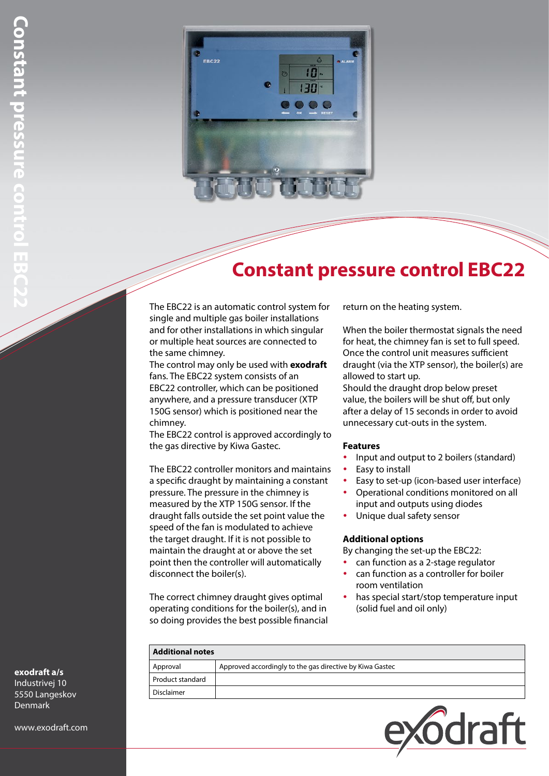

# **Constant pressure control EBC22**

The EBC22 is an automatic control system for single and multiple gas boiler installations and for other installations in which singular or multiple heat sources are connected to the same chimney.

The control may only be used with **exodraft** fans. The EBC22 system consists of an EBC22 controller, which can be positioned anywhere, and a pressure transducer (XTP 150G sensor) which is positioned near the chimney.

The EBC22 control is approved accordingly to the gas directive by Kiwa Gastec.

The EBC22 controller monitors and maintains a specific draught by maintaining a constant pressure. The pressure in the chimney is measured by the XTP 150G sensor. If the draught falls outside the set point value the speed of the fan is modulated to achieve the target draught. If it is not possible to maintain the draught at or above the set point then the controller will automatically disconnect the boiler(s).

The correct chimney draught gives optimal operating conditions for the boiler(s), and in so doing provides the best possible financial

Approval Approved accordingly to the gas directive by Kiwa Gastec

**Additional notes**

Product standard Disclaimer

return on the heating system.

When the boiler thermostat signals the need for heat, the chimney fan is set to full speed. Once the control unit measures sufficient draught (via the XTP sensor), the boiler(s) are allowed to start up.

Should the draught drop below preset value, the boilers will be shut off, but only after a delay of 15 seconds in order to avoid unnecessary cut-outs in the system.

#### **Features**

- Input and output to 2 boilers (standard)
- Easy to install
- Easy to set-up (icon-based user interface)
- Operational conditions monitored on all input and outputs using diodes
- Unique dual safety sensor

#### **Additional options**

By changing the set-up the EBC22:

- can function as a 2-stage regulator
- can function as a controller for boiler room ventilation
- has special start/stop temperature input (solid fuel and oil only)

| exodraft a/s |  |  |
|--------------|--|--|

Industrivej 10 5550 Langeskov **Denmark** 

www.exodraft.com